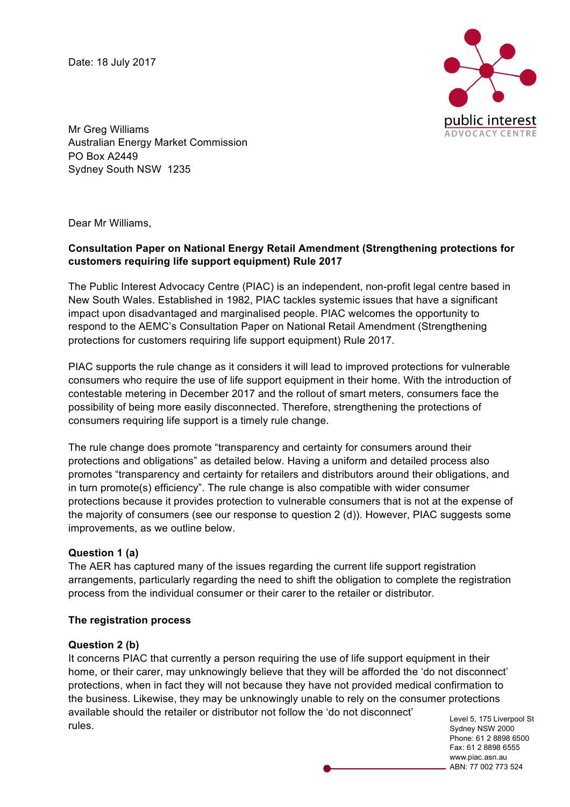Date: 18 July 2017



Mr Greg Williams Australian Energy Market Commission PO Box A2449 Sydney South NSW 1235

Dear Mr Williams,

### **Consultation Paper on National Energy Retail Amendment (Strengthening protections for customers requiring life support equipment) Rule 2017**

The Public Interest Advocacy Centre (PIAC) is an independent, non-profit legal centre based in New South Wales. Established in 1982, PIAC tackles systemic issues that have a significant impact upon disadvantaged and marginalised people. PIAC welcomes the opportunity to respond to the AEMC's Consultation Paper on National Retail Amendment (Strengthening protections for customers requiring life support equipment) Rule 2017.

PIAC supports the rule change as it considers it will lead to improved protections for vulnerable consumers who require the use of life support equipment in their home. With the introduction of contestable metering in December 2017 and the rollout of smart meters, consumers face the possibility of being more easily disconnected. Therefore, strengthening the protections of consumers requiring life support is a timely rule change.

The rule change does promote "transparency and certainty for consumers around their protections and obligations" as detailed below. Having a uniform and detailed process also promotes "transparency and certainty for retailers and distributors around their obligations, and in turn promote(s) efficiency". The rule change is also compatible with wider consumer protections because it provides protection to vulnerable consumers that is not at the expense of the majority of consumers (see our response to question 2 (d)). However, PIAC suggests some improvements, as we outline below.

### **Question 1 (a)**

The AER has captured many of the issues regarding the current life support registration arrangements, particularly regarding the need to shift the obligation to complete the registration process from the individual consumer or their carer to the retailer or distributor.

### **The registration process**

### **Question 2 (b)**

It concerns PIAC that currently a person requiring the use of life support equipment in their home, or their carer, may unknowingly believe that they will be afforded the 'do not disconnect' protections, when in fact they will not because they have not provided medical confirmation to the business. Likewise, they may be unknowingly unable to rely on the consumer protections available should the retailer or distributor not follow the 'do not disconnect' rules.

Level 5, 175 Liverpool St Sydney NSW 2000 Phone: 61 2 8898 6500 Fax: 61 2 8898 6555 www.piac.asn.au ABN: 77 002 773 524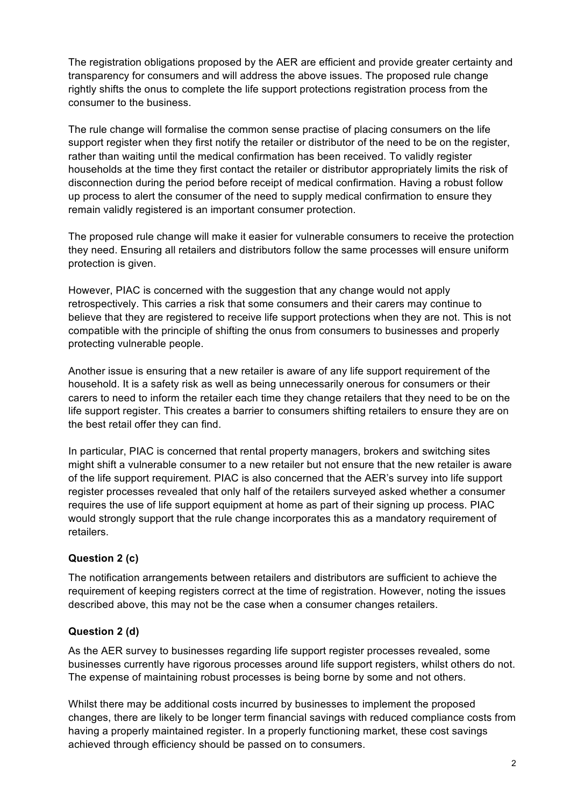The registration obligations proposed by the AER are efficient and provide greater certainty and transparency for consumers and will address the above issues. The proposed rule change rightly shifts the onus to complete the life support protections registration process from the consumer to the business.

The rule change will formalise the common sense practise of placing consumers on the life support register when they first notify the retailer or distributor of the need to be on the register, rather than waiting until the medical confirmation has been received. To validly register households at the time they first contact the retailer or distributor appropriately limits the risk of disconnection during the period before receipt of medical confirmation. Having a robust follow up process to alert the consumer of the need to supply medical confirmation to ensure they remain validly registered is an important consumer protection.

The proposed rule change will make it easier for vulnerable consumers to receive the protection they need. Ensuring all retailers and distributors follow the same processes will ensure uniform protection is given.

However, PIAC is concerned with the suggestion that any change would not apply retrospectively. This carries a risk that some consumers and their carers may continue to believe that they are registered to receive life support protections when they are not. This is not compatible with the principle of shifting the onus from consumers to businesses and properly protecting vulnerable people.

Another issue is ensuring that a new retailer is aware of any life support requirement of the household. It is a safety risk as well as being unnecessarily onerous for consumers or their carers to need to inform the retailer each time they change retailers that they need to be on the life support register. This creates a barrier to consumers shifting retailers to ensure they are on the best retail offer they can find.

In particular, PIAC is concerned that rental property managers, brokers and switching sites might shift a vulnerable consumer to a new retailer but not ensure that the new retailer is aware of the life support requirement. PIAC is also concerned that the AER's survey into life support register processes revealed that only half of the retailers surveyed asked whether a consumer requires the use of life support equipment at home as part of their signing up process. PIAC would strongly support that the rule change incorporates this as a mandatory requirement of retailers.

# **Question 2 (c)**

The notification arrangements between retailers and distributors are sufficient to achieve the requirement of keeping registers correct at the time of registration. However, noting the issues described above, this may not be the case when a consumer changes retailers.

# **Question 2 (d)**

As the AER survey to businesses regarding life support register processes revealed, some businesses currently have rigorous processes around life support registers, whilst others do not. The expense of maintaining robust processes is being borne by some and not others.

Whilst there may be additional costs incurred by businesses to implement the proposed changes, there are likely to be longer term financial savings with reduced compliance costs from having a properly maintained register. In a properly functioning market, these cost savings achieved through efficiency should be passed on to consumers.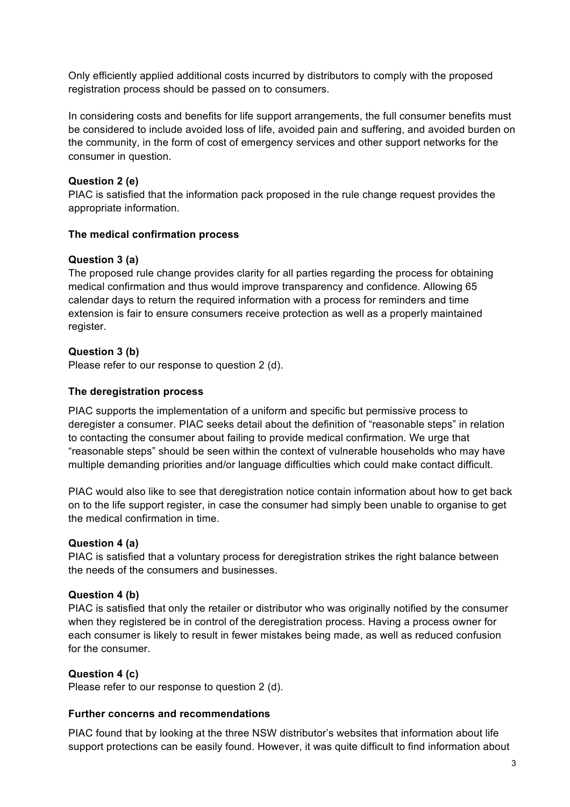Only efficiently applied additional costs incurred by distributors to comply with the proposed registration process should be passed on to consumers.

In considering costs and benefits for life support arrangements, the full consumer benefits must be considered to include avoided loss of life, avoided pain and suffering, and avoided burden on the community, in the form of cost of emergency services and other support networks for the consumer in question.

# **Question 2 (e)**

PIAC is satisfied that the information pack proposed in the rule change request provides the appropriate information.

### **The medical confirmation process**

# **Question 3 (a)**

The proposed rule change provides clarity for all parties regarding the process for obtaining medical confirmation and thus would improve transparency and confidence. Allowing 65 calendar days to return the required information with a process for reminders and time extension is fair to ensure consumers receive protection as well as a properly maintained register.

# **Question 3 (b)**

Please refer to our response to question 2 (d).

### **The deregistration process**

PIAC supports the implementation of a uniform and specific but permissive process to deregister a consumer. PIAC seeks detail about the definition of "reasonable steps" in relation to contacting the consumer about failing to provide medical confirmation. We urge that "reasonable steps" should be seen within the context of vulnerable households who may have multiple demanding priorities and/or language difficulties which could make contact difficult.

PIAC would also like to see that deregistration notice contain information about how to get back on to the life support register, in case the consumer had simply been unable to organise to get the medical confirmation in time.

### **Question 4 (a)**

PIAC is satisfied that a voluntary process for deregistration strikes the right balance between the needs of the consumers and businesses.

### **Question 4 (b)**

PIAC is satisfied that only the retailer or distributor who was originally notified by the consumer when they registered be in control of the deregistration process. Having a process owner for each consumer is likely to result in fewer mistakes being made, as well as reduced confusion for the consumer.

### **Question 4 (c)**

Please refer to our response to question 2 (d).

### **Further concerns and recommendations**

PIAC found that by looking at the three NSW distributor's websites that information about life support protections can be easily found. However, it was quite difficult to find information about